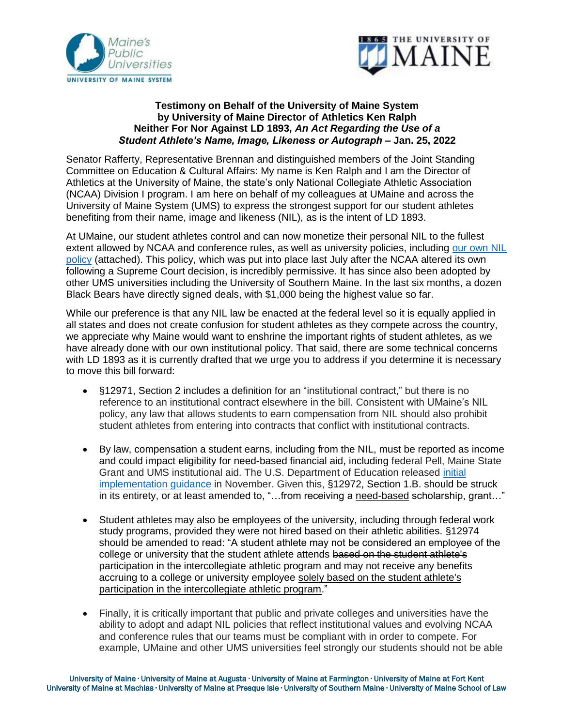



## **Testimony on Behalf of the University of Maine System by University of Maine Director of Athletics Ken Ralph Neither For Nor Against LD 1893,** *An Act Regarding the Use of a Student Athlete's Name, Image, Likeness or Autograph* **– Jan. 25, 2022**

Senator Rafferty, Representative Brennan and distinguished members of the Joint Standing Committee on Education & Cultural Affairs: My name is Ken Ralph and I am the Director of Athletics at the University of Maine, the state's only National Collegiate Athletic Association (NCAA) Division I program. I am here on behalf of my colleagues at UMaine and across the University of Maine System (UMS) to express the strongest support for our student athletes benefiting from their name, image and likeness (NIL), as is the intent of LD 1893.

At UMaine, our student athletes control and can now monetize their personal NIL to the fullest extent allowed by NCAA and conference rules, as well as university policies, including [our own NIL](https://goblackbears.com/documents/2021/7/26/NIL.pdf)  [policy](https://goblackbears.com/documents/2021/7/26/NIL.pdf) (attached). This policy, which was put into place last July after the NCAA altered its own following a Supreme Court decision, is incredibly permissive. It has since also been adopted by other UMS universities including the University of Southern Maine. In the last six months, a dozen Black Bears have directly signed deals, with \$1,000 being the highest value so far.

While our preference is that any NIL law be enacted at the federal level so it is equally applied in all states and does not create confusion for student athletes as they compete across the country, we appreciate why Maine would want to enshrine the important rights of student athletes, as we have already done with our own institutional policy. That said, there are some technical concerns with LD 1893 as it is currently drafted that we urge you to address if you determine it is necessary to move this bill forward:

- §12971, Section 2 includes a definition for an "institutional contract," but there is no reference to an institutional contract elsewhere in the bill. Consistent with UMaine's NIL policy, any law that allows students to earn compensation from NIL should also prohibit student athletes from entering into contracts that conflict with institutional contracts.
- By law, compensation a student earns, including from the NIL, must be reported as income and could impact eligibility for need-based financial aid, including federal Pell, Maine State Grant and UMS institutional aid. The U.S. Department of Education released [initial](https://fsapartners.ed.gov/knowledge-center/library/dear-colleague-letters/2021-11-08/treatment-name-image-and-likeness-compensation-awarding-title-iv-hea-assistance)  [implementation](https://fsapartners.ed.gov/knowledge-center/library/dear-colleague-letters/2021-11-08/treatment-name-image-and-likeness-compensation-awarding-title-iv-hea-assistance) guidance in November. Given this, §12972, Section 1.B. should be struck in its entirety, or at least amended to, "…from receiving a need-based scholarship, grant…"
- Student athletes may also be employees of the university, including through federal work study programs, provided they were not hired based on their athletic abilities. §12974 should be amended to read: "A student athlete may not be considered an employee of the college or university that the student athlete attends based on the student athlete's participation in the intercollegiate athletic program and may not receive any benefits accruing to a college or university employee solely based on the student athlete's participation in the intercollegiate athletic program."
- Finally, it is critically important that public and private colleges and universities have the ability to adopt and adapt NIL policies that reflect institutional values and evolving NCAA and conference rules that our teams must be compliant with in order to compete. For example, UMaine and other UMS universities feel strongly our students should not be able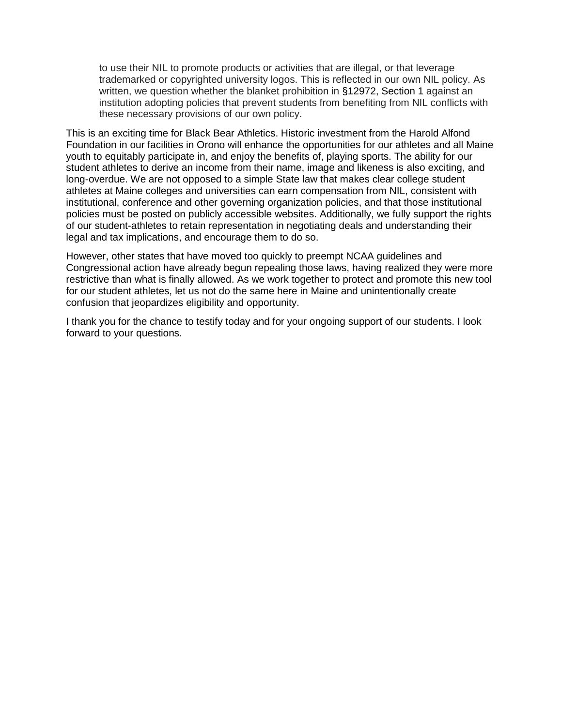to use their NIL to promote products or activities that are illegal, or that leverage trademarked or copyrighted university logos. This is reflected in our own NIL policy. As written, we question whether the blanket prohibition in §12972, Section 1 against an institution adopting policies that prevent students from benefiting from NIL conflicts with these necessary provisions of our own policy.

This is an exciting time for Black Bear Athletics. Historic investment from the Harold Alfond Foundation in our facilities in Orono will enhance the opportunities for our athletes and all Maine youth to equitably participate in, and enjoy the benefits of, playing sports. The ability for our student athletes to derive an income from their name, image and likeness is also exciting, and long-overdue. We are not opposed to a simple State law that makes clear college student athletes at Maine colleges and universities can earn compensation from NIL, consistent with institutional, conference and other governing organization policies, and that those institutional policies must be posted on publicly accessible websites. Additionally, we fully support the rights of our student-athletes to retain representation in negotiating deals and understanding their legal and tax implications, and encourage them to do so.

However, other states that have moved too quickly to preempt NCAA guidelines and Congressional action have already begun repealing those laws, having realized they were more restrictive than what is finally allowed. As we work together to protect and promote this new tool for our student athletes, let us not do the same here in Maine and unintentionally create confusion that jeopardizes eligibility and opportunity.

I thank you for the chance to testify today and for your ongoing support of our students. I look forward to your questions.